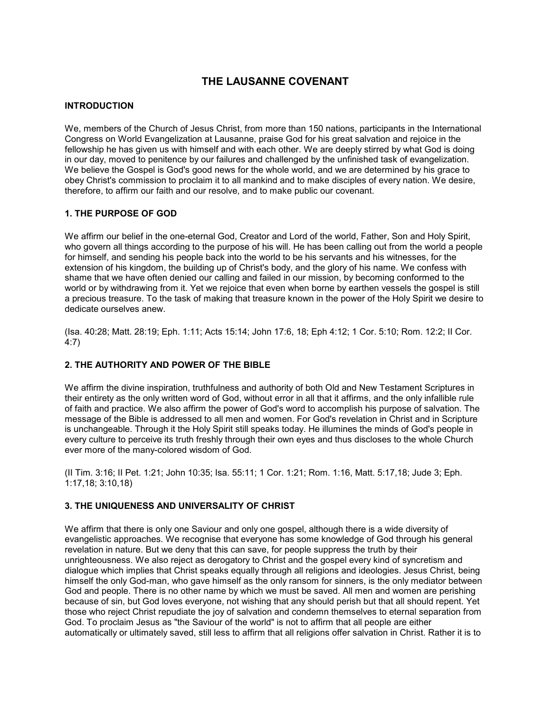# THE LAUSANNE COVENANT

#### INTRODUCTION

We, members of the Church of Jesus Christ, from more than 150 nations, participants in the International Congress on World Evangelization at Lausanne, praise God for his great salvation and rejoice in the fellowship he has given us with himself and with each other. We are deeply stirred by what God is doing in our day, moved to penitence by our failures and challenged by the unfinished task of evangelization. We believe the Gospel is God's good news for the whole world, and we are determined by his grace to obey Christ's commission to proclaim it to all mankind and to make disciples of every nation. We desire, therefore, to affirm our faith and our resolve, and to make public our covenant.

### 1. THE PURPOSE OF GOD

We affirm our belief in the one-eternal God, Creator and Lord of the world, Father, Son and Holy Spirit, who govern all things according to the purpose of his will. He has been calling out from the world a people for himself, and sending his people back into the world to be his servants and his witnesses, for the extension of his kingdom, the building up of Christ's body, and the glory of his name. We confess with shame that we have often denied our calling and failed in our mission, by becoming conformed to the world or by withdrawing from it. Yet we rejoice that even when borne by earthen vessels the gospel is still a precious treasure. To the task of making that treasure known in the power of the Holy Spirit we desire to dedicate ourselves anew.

(Isa. 40:28; Matt. 28:19; Eph. 1:11; Acts 15:14; John 17:6, 18; Eph 4:12; 1 Cor. 5:10; Rom. 12:2; II Cor. 4:7)

# 2. THE AUTHORITY AND POWER OF THE BIBLE

We affirm the divine inspiration, truthfulness and authority of both Old and New Testament Scriptures in their entirety as the only written word of God, without error in all that it affirms, and the only infallible rule of faith and practice. We also affirm the power of God's word to accomplish his purpose of salvation. The message of the Bible is addressed to all men and women. For God's revelation in Christ and in Scripture is unchangeable. Through it the Holy Spirit still speaks today. He illumines the minds of God's people in every culture to perceive its truth freshly through their own eyes and thus discloses to the whole Church ever more of the many-colored wisdom of God.

(II Tim. 3:16; II Pet. 1:21; John 10:35; Isa. 55:11; 1 Cor. 1:21; Rom. 1:16, Matt. 5:17,18; Jude 3; Eph. 1:17,18; 3:10,18)

#### 3. THE UNIQUENESS AND UNIVERSALITY OF CHRIST

We affirm that there is only one Saviour and only one gospel, although there is a wide diversity of evangelistic approaches. We recognise that everyone has some knowledge of God through his general revelation in nature. But we deny that this can save, for people suppress the truth by their unrighteousness. We also reject as derogatory to Christ and the gospel every kind of syncretism and dialogue which implies that Christ speaks equally through all religions and ideologies. Jesus Christ, being himself the only God-man, who gave himself as the only ransom for sinners, is the only mediator between God and people. There is no other name by which we must be saved. All men and women are perishing because of sin, but God loves everyone, not wishing that any should perish but that all should repent. Yet those who reject Christ repudiate the joy of salvation and condemn themselves to eternal separation from God. To proclaim Jesus as "the Saviour of the world" is not to affirm that all people are either automatically or ultimately saved, still less to affirm that all religions offer salvation in Christ. Rather it is to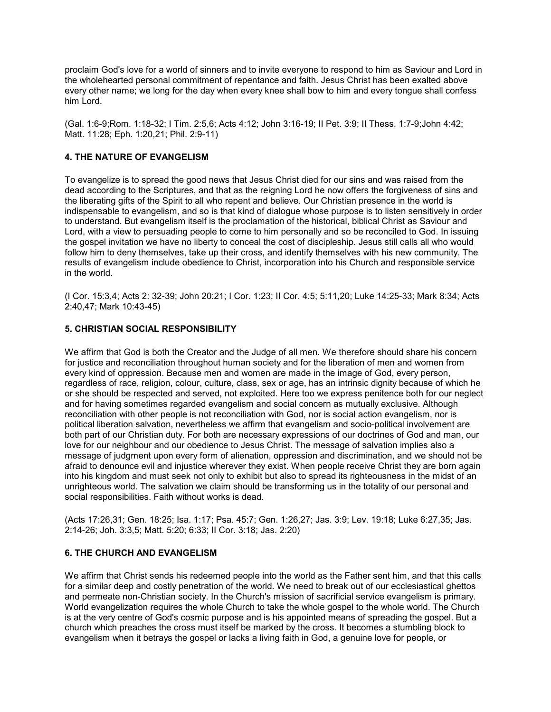proclaim God's love for a world of sinners and to invite everyone to respond to him as Saviour and Lord in the wholehearted personal commitment of repentance and faith. Jesus Christ has been exalted above every other name; we long for the day when every knee shall bow to him and every tongue shall confess him Lord.

(Gal. 1:6-9;Rom. 1:18-32; I Tim. 2:5,6; Acts 4:12; John 3:16-19; II Pet. 3:9; II Thess. 1:7-9;John 4:42; Matt. 11:28; Eph. 1:20,21; Phil. 2:9-11)

# 4. THE NATURE OF EVANGELISM

To evangelize is to spread the good news that Jesus Christ died for our sins and was raised from the dead according to the Scriptures, and that as the reigning Lord he now offers the forgiveness of sins and the liberating gifts of the Spirit to all who repent and believe. Our Christian presence in the world is indispensable to evangelism, and so is that kind of dialogue whose purpose is to listen sensitively in order to understand. But evangelism itself is the proclamation of the historical, biblical Christ as Saviour and Lord, with a view to persuading people to come to him personally and so be reconciled to God. In issuing the gospel invitation we have no liberty to conceal the cost of discipleship. Jesus still calls all who would follow him to deny themselves, take up their cross, and identify themselves with his new community. The results of evangelism include obedience to Christ, incorporation into his Church and responsible service in the world.

(I Cor. 15:3,4; Acts 2: 32-39; John 20:21; I Cor. 1:23; II Cor. 4:5; 5:11,20; Luke 14:25-33; Mark 8:34; Acts 2:40,47; Mark 10:43-45)

### 5. CHRISTIAN SOCIAL RESPONSIBILITY

We affirm that God is both the Creator and the Judge of all men. We therefore should share his concern for justice and reconciliation throughout human society and for the liberation of men and women from every kind of oppression. Because men and women are made in the image of God, every person, regardless of race, religion, colour, culture, class, sex or age, has an intrinsic dignity because of which he or she should be respected and served, not exploited. Here too we express penitence both for our neglect and for having sometimes regarded evangelism and social concern as mutually exclusive. Although reconciliation with other people is not reconciliation with God, nor is social action evangelism, nor is political liberation salvation, nevertheless we affirm that evangelism and socio-political involvement are both part of our Christian duty. For both are necessary expressions of our doctrines of God and man, our love for our neighbour and our obedience to Jesus Christ. The message of salvation implies also a message of judgment upon every form of alienation, oppression and discrimination, and we should not be afraid to denounce evil and injustice wherever they exist. When people receive Christ they are born again into his kingdom and must seek not only to exhibit but also to spread its righteousness in the midst of an unrighteous world. The salvation we claim should be transforming us in the totality of our personal and social responsibilities. Faith without works is dead.

(Acts 17:26,31; Gen. 18:25; Isa. 1:17; Psa. 45:7; Gen. 1:26,27; Jas. 3:9; Lev. 19:18; Luke 6:27,35; Jas. 2:14-26; Joh. 3:3,5; Matt. 5:20; 6:33; II Cor. 3:18; Jas. 2:20)

# 6. THE CHURCH AND EVANGELISM

We affirm that Christ sends his redeemed people into the world as the Father sent him, and that this calls for a similar deep and costly penetration of the world. We need to break out of our ecclesiastical ghettos and permeate non-Christian society. In the Church's mission of sacrificial service evangelism is primary. World evangelization requires the whole Church to take the whole gospel to the whole world. The Church is at the very centre of God's cosmic purpose and is his appointed means of spreading the gospel. But a church which preaches the cross must itself be marked by the cross. It becomes a stumbling block to evangelism when it betrays the gospel or lacks a living faith in God, a genuine love for people, or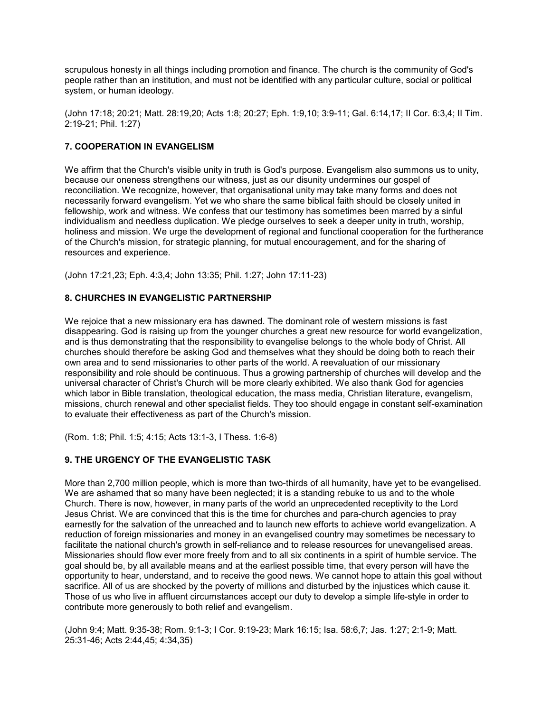scrupulous honesty in all things including promotion and finance. The church is the community of God's people rather than an institution, and must not be identified with any particular culture, social or political system, or human ideology.

(John 17:18; 20:21; Matt. 28:19,20; Acts 1:8; 20:27; Eph. 1:9,10; 3:9-11; Gal. 6:14,17; II Cor. 6:3,4; II Tim. 2:19-21; Phil. 1:27)

### 7. COOPERATION IN EVANGELISM

We affirm that the Church's visible unity in truth is God's purpose. Evangelism also summons us to unity, because our oneness strengthens our witness, just as our disunity undermines our gospel of reconciliation. We recognize, however, that organisational unity may take many forms and does not necessarily forward evangelism. Yet we who share the same biblical faith should be closely united in fellowship, work and witness. We confess that our testimony has sometimes been marred by a sinful individualism and needless duplication. We pledge ourselves to seek a deeper unity in truth, worship, holiness and mission. We urge the development of regional and functional cooperation for the furtherance of the Church's mission, for strategic planning, for mutual encouragement, and for the sharing of resources and experience.

(John 17:21,23; Eph. 4:3,4; John 13:35; Phil. 1:27; John 17:11-23)

#### 8. CHURCHES IN EVANGELISTIC PARTNERSHIP

We rejoice that a new missionary era has dawned. The dominant role of western missions is fast disappearing. God is raising up from the younger churches a great new resource for world evangelization, and is thus demonstrating that the responsibility to evangelise belongs to the whole body of Christ. All churches should therefore be asking God and themselves what they should be doing both to reach their own area and to send missionaries to other parts of the world. A reevaluation of our missionary responsibility and role should be continuous. Thus a growing partnership of churches will develop and the universal character of Christ's Church will be more clearly exhibited. We also thank God for agencies which labor in Bible translation, theological education, the mass media, Christian literature, evangelism, missions, church renewal and other specialist fields. They too should engage in constant self-examination to evaluate their effectiveness as part of the Church's mission.

(Rom. 1:8; Phil. 1:5; 4:15; Acts 13:1-3, I Thess. 1:6-8)

### 9. THE URGENCY OF THE EVANGELISTIC TASK

More than 2,700 million people, which is more than two-thirds of all humanity, have yet to be evangelised. We are ashamed that so many have been neglected; it is a standing rebuke to us and to the whole Church. There is now, however, in many parts of the world an unprecedented receptivity to the Lord Jesus Christ. We are convinced that this is the time for churches and para-church agencies to pray earnestly for the salvation of the unreached and to launch new efforts to achieve world evangelization. A reduction of foreign missionaries and money in an evangelised country may sometimes be necessary to facilitate the national church's growth in self-reliance and to release resources for unevangelised areas. Missionaries should flow ever more freely from and to all six continents in a spirit of humble service. The goal should be, by all available means and at the earliest possible time, that every person will have the opportunity to hear, understand, and to receive the good news. We cannot hope to attain this goal without sacrifice. All of us are shocked by the poverty of millions and disturbed by the injustices which cause it. Those of us who live in affluent circumstances accept our duty to develop a simple life-style in order to contribute more generously to both relief and evangelism.

(John 9:4; Matt. 9:35-38; Rom. 9:1-3; I Cor. 9:19-23; Mark 16:15; Isa. 58:6,7; Jas. 1:27; 2:1-9; Matt. 25:31-46; Acts 2:44,45; 4:34,35)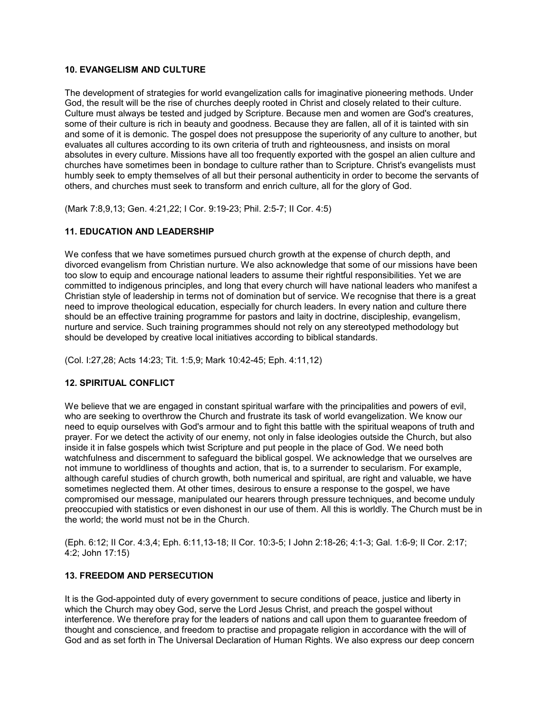# 10. EVANGELISM AND CULTURE

The development of strategies for world evangelization calls for imaginative pioneering methods. Under God, the result will be the rise of churches deeply rooted in Christ and closely related to their culture. Culture must always be tested and judged by Scripture. Because men and women are God's creatures, some of their culture is rich in beauty and goodness. Because they are fallen, all of it is tainted with sin and some of it is demonic. The gospel does not presuppose the superiority of any culture to another, but evaluates all cultures according to its own criteria of truth and righteousness, and insists on moral absolutes in every culture. Missions have all too frequently exported with the gospel an alien culture and churches have sometimes been in bondage to culture rather than to Scripture. Christ's evangelists must humbly seek to empty themselves of all but their personal authenticity in order to become the servants of others, and churches must seek to transform and enrich culture, all for the glory of God.

(Mark 7:8,9,13; Gen. 4:21,22; I Cor. 9:19-23; Phil. 2:5-7; II Cor. 4:5)

# 11. EDUCATION AND LEADERSHIP

We confess that we have sometimes pursued church growth at the expense of church depth, and divorced evangelism from Christian nurture. We also acknowledge that some of our missions have been too slow to equip and encourage national leaders to assume their rightful responsibilities. Yet we are committed to indigenous principles, and long that every church will have national leaders who manifest a Christian style of leadership in terms not of domination but of service. We recognise that there is a great need to improve theological education, especially for church leaders. In every nation and culture there should be an effective training programme for pastors and laity in doctrine, discipleship, evangelism, nurture and service. Such training programmes should not rely on any stereotyped methodology but should be developed by creative local initiatives according to biblical standards.

(Col. I:27,28; Acts 14:23; Tit. 1:5,9; Mark 10:42-45; Eph. 4:11,12)

# 12. SPIRITUAL CONFLICT

We believe that we are engaged in constant spiritual warfare with the principalities and powers of evil, who are seeking to overthrow the Church and frustrate its task of world evangelization. We know our need to equip ourselves with God's armour and to fight this battle with the spiritual weapons of truth and prayer. For we detect the activity of our enemy, not only in false ideologies outside the Church, but also inside it in false gospels which twist Scripture and put people in the place of God. We need both watchfulness and discernment to safeguard the biblical gospel. We acknowledge that we ourselves are not immune to worldliness of thoughts and action, that is, to a surrender to secularism. For example, although careful studies of church growth, both numerical and spiritual, are right and valuable, we have sometimes neglected them. At other times, desirous to ensure a response to the gospel, we have compromised our message, manipulated our hearers through pressure techniques, and become unduly preoccupied with statistics or even dishonest in our use of them. All this is worldly. The Church must be in the world; the world must not be in the Church.

(Eph. 6:12; II Cor. 4:3,4; Eph. 6:11,13-18; II Cor. 10:3-5; I John 2:18-26; 4:1-3; Gal. 1:6-9; II Cor. 2:17; 4:2; John 17:15)

# 13. FREEDOM AND PERSECUTION

It is the God-appointed duty of every government to secure conditions of peace, justice and liberty in which the Church may obey God, serve the Lord Jesus Christ, and preach the gospel without interference. We therefore pray for the leaders of nations and call upon them to guarantee freedom of thought and conscience, and freedom to practise and propagate religion in accordance with the will of God and as set forth in The Universal Declaration of Human Rights. We also express our deep concern